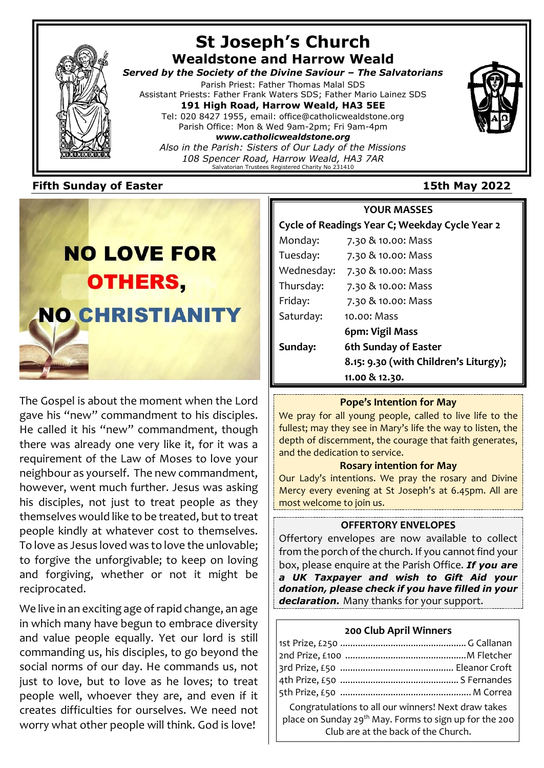

# **St Joseph's Church Wealdstone and Harrow Weald**

*Served by the Society of the Divine Saviour – The Salvatorians* Parish Priest: Father Thomas Malal SDS

Assistant Priests: Father Frank Waters SDS; Father Mario Lainez SDS **191 High Road, Harrow Weald, HA3 5EE** Tel: 020 8427 1955, email: office@catholicwealdstone.org Parish Office: Mon & Wed 9am-2pm; Fri 9am-4pm

*www.catholicwealdstone.org Also in the Parish: Sisters of Our Lady of the Missions 108 Spencer Road, Harrow Weald, HA3 7AR* Salvatorian Trustees Registered Charity No 231410

# **Fifth Sunday of Easter 15th May 2022**



The Gospel is about the moment when the Lord gave his "new" commandment to his disciples. He called it his "new" commandment, though there was already one very like it, for it was a requirement of the Law of Moses to love your neighbour as yourself. The new commandment, however, went much further. Jesus was asking his disciples, not just to treat people as they themselves would like to be treated, but to treat people kindly at whatever cost to themselves. To love as Jesus loved was to love the unlovable; to forgive the unforgivable; to keep on loving and forgiving, whether or not it might be reciprocated.

We live in an exciting age of rapid change, an age in which many have begun to embrace diversity and value people equally. Yet our lord is still commanding us, his disciples, to go beyond the social norms of our day. He commands us, not just to love, but to love as he loves; to treat people well, whoever they are, and even if it creates difficulties for ourselves. We need not worry what other people will think. God is love!

**YOUR MASSES Cycle of Readings Year C; Weekday Cycle Year 2** Monday: 7.30 & 10.00: Mass Tuesday: 7.30 & 10.00: Mass Wednesday: 7.30 & 10.00: Mass Thursday: 7.30 & 10.00: Mass Friday: 7.30 & 10.00: Mass Saturday: 10.00: Mass  **6pm: Vigil Mass Sunday: 6th Sunday of Easter 8.15: 9.30 (with Children's Liturgy); 11.00 & 12.30.**

# **Pope's Intention for May**

We pray for all young people, called to live life to the fullest; may they see in Mary's life the way to listen, the depth of discernment, the courage that faith generates, and the dedication to service.

### **Rosary intention for May**

Our Lady's intentions. We pray the rosary and Divine Mercy every evening at St Joseph's at 6.45pm. All are most welcome to join us.

# **OFFERTORY ENVELOPES**

Offertory envelopes are now available to collect from the porch of the church. If you cannot find your box, please enquire at the Parish Office. *If you are a UK Taxpayer and wish to Gift Aid your donation, please check if you have filled in your declaration.* Many thanks for your support.

# **200 Club April Winners**

| Congratulations to all our winners! Next draw takes<br>place on Sunday $29^{th}$ May. Forms to sign up for the 200<br>Club are at the back of the Church. |  |
|-----------------------------------------------------------------------------------------------------------------------------------------------------------|--|